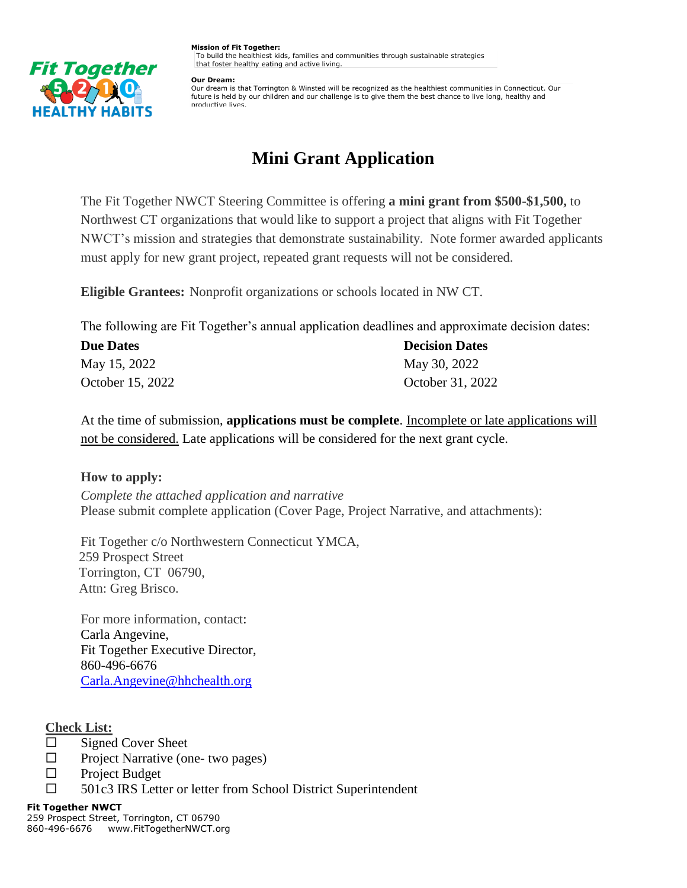

**Mission of Fit Together:** To build the healthiest kids, families and communities through sustainable strategies that foster healthy eating and active living.

**Our Dream:** 

Our dream is that Torrington & Winsted will be recognized as the healthiest communities in Connecticut. Our future is held by our children and our challenge is to give them the best chance to live long, healthy and productive lives.

# **Mini Grant Application**

The Fit Together NWCT Steering Committee is offering **a mini grant from \$500-\$1,500,** to Northwest CT organizations that would like to support a project that aligns with Fit Together NWCT's mission and strategies that demonstrate sustainability. Note former awarded applicants must apply for new grant project, repeated grant requests will not be considered.

**Eligible Grantees:** Nonprofit organizations or schools located in NW CT.

The following are Fit Together's annual application deadlines and approximate decision dates:

| <b>Due Dates</b> | <b>Decision Dates</b> |
|------------------|-----------------------|
| May 15, 2022     | May 30, 2022          |
| October 15, 2022 | October 31, 2022      |

At the time of submission, **applications must be complete**. Incomplete or late applications will not be considered. Late applications will be considered for the next grant cycle.

# **How to apply:**

*Complete the attached application and narrative*  Please submit complete application (Cover Page, Project Narrative, and attachments):

Fit Together c/o Northwestern Connecticut YMCA, 259 Prospect Street Torrington, CT 06790, Attn: Greg Brisco.

For more information, contact: Carla Angevine, Fit Together Executive Director, 860-496-6676 [Carla.Angevine@hhchealth.org](mailto:Carla.Angevine@hhchealth.org)

# **Check List:**

- $\Box$  Signed Cover Sheet
- $\Box$  Project Narrative (one- two pages)
- □ Project Budget
- □ 501c3 IRS Letter or letter from School District Superintendent

#### **Fit Together NWCT**

259 Prospect Street, Torrington, CT 06790 860-496-6676 www.FitTogetherNWCT.org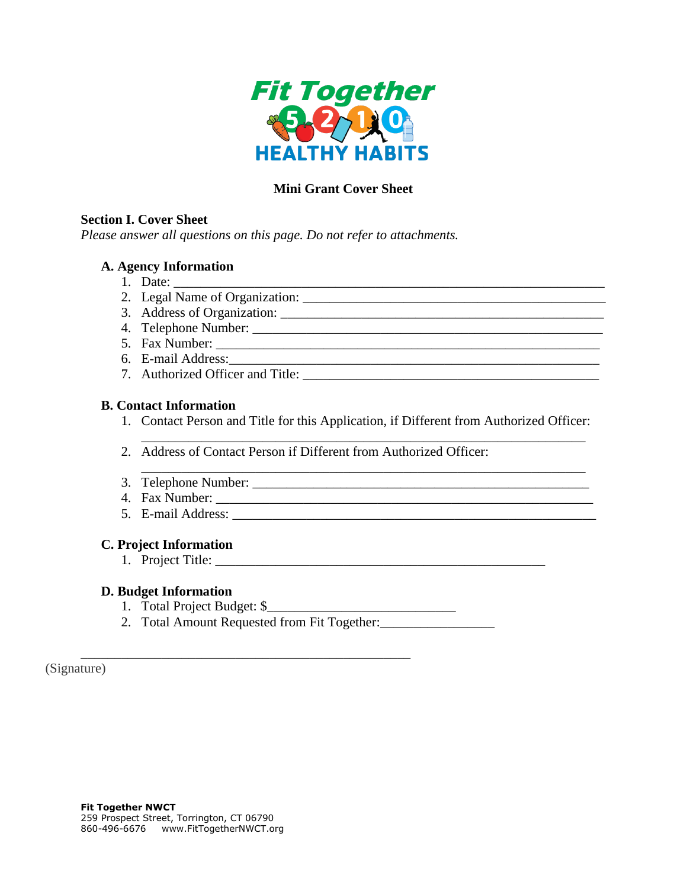

# **Mini Grant Cover Sheet**

#### **Section I. Cover Sheet**

*Please answer all questions on this page. Do not refer to attachments.*

## **A. Agency Information**

- 1. Date: \_\_\_\_\_\_\_\_\_\_\_\_\_\_\_\_\_\_\_\_\_\_\_\_\_\_\_\_\_\_\_\_\_\_\_\_\_\_\_\_\_\_\_\_\_\_\_\_\_\_\_\_\_\_\_\_\_\_\_\_\_\_\_\_
- 2. Legal Name of Organization:
- 3. Address of Organization: \_\_\_\_\_\_\_\_\_\_\_\_\_\_\_\_\_\_\_\_\_\_\_\_\_\_\_\_\_\_\_\_\_\_\_\_\_\_\_\_\_\_\_\_\_\_\_\_
- 4. Telephone Number: \_\_\_\_\_\_\_\_\_\_\_\_\_\_\_\_\_\_\_\_\_\_\_\_\_\_\_\_\_\_\_\_\_\_\_\_\_\_\_\_\_\_\_\_\_\_\_\_\_\_\_\_
- 5. Fax Number: \_\_\_\_\_\_\_\_\_\_\_\_\_\_\_\_\_\_\_\_\_\_\_\_\_\_\_\_\_\_\_\_\_\_\_\_\_\_\_\_\_\_\_\_\_\_\_\_\_\_\_\_\_\_\_\_\_
- 6. E-mail Address:
- 7. Authorized Officer and Title:

### **B. Contact Information**

1. Contact Person and Title for this Application, if Different from Authorized Officer:

\_\_\_\_\_\_\_\_\_\_\_\_\_\_\_\_\_\_\_\_\_\_\_\_\_\_\_\_\_\_\_\_\_\_\_\_\_\_\_\_\_\_\_\_\_\_\_\_\_\_\_\_\_\_\_\_\_\_\_\_\_\_\_\_\_\_

\_\_\_\_\_\_\_\_\_\_\_\_\_\_\_\_\_\_\_\_\_\_\_\_\_\_\_\_\_\_\_\_\_\_\_\_\_\_\_\_\_\_\_\_\_\_\_\_\_\_\_\_\_\_\_\_\_\_\_\_\_\_\_\_\_\_

- 2. Address of Contact Person if Different from Authorized Officer:
- 3. Telephone Number: \_\_\_\_\_\_\_\_\_\_\_\_\_\_\_\_\_\_\_\_\_\_\_\_\_\_\_\_\_\_\_\_\_\_\_\_\_\_\_\_\_\_\_\_\_\_\_\_\_\_
- 4. Fax Number: \_\_\_\_\_\_\_\_\_\_\_\_\_\_\_\_\_\_\_\_\_\_\_\_\_\_\_\_\_\_\_\_\_\_\_\_\_\_\_\_\_\_\_\_\_\_\_\_\_\_\_\_\_\_\_\_
- 5. E-mail Address:

### **C. Project Information**

1. Project Title:

### **D. Budget Information**

1. Total Project Budget: \$\_\_\_\_\_\_\_\_\_\_\_\_\_\_\_\_\_\_\_\_\_\_\_\_\_\_\_\_

\_\_\_\_\_\_\_\_\_\_\_\_\_\_\_\_\_\_\_\_\_\_\_\_\_\_\_\_\_\_\_\_\_\_\_\_\_\_\_\_\_\_\_\_\_\_\_\_\_

2. Total Amount Requested from Fit Together:

(Signature)